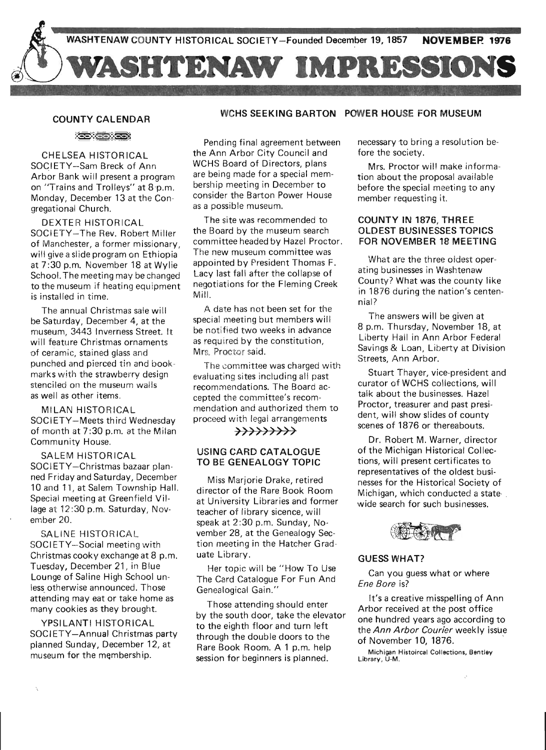

#### COUNTY CALENDAR

**EXORES** 

CHELSEA HISTORICAL SOGIETY-Sam Breck of Ann Arbor Bank will present a program on "Trains and Trolleys" at 8·p.m. Monday, December 13 at the Congregational Church.

DEXTER HISTORICAL SOCIETY-The Rev. Robert Miller of Manchester, a former missionary, will give a slide program on Ethiopia at 7:30 p.m. November 18 at Wylie School. The meeting may be changed to the museum if heating equipment is installed in time.

The annual Christmas sale will be Saturday, December 4, at the museum, 3443 Inverness Street. It will feature Christmas ornaments of ceramic, stained glass and punched and pierced tin and bookmarks with the strawberry design stenciled on the museum walls as well as other items.

MILAN HISTORICAL SOCIETY-Meets third Wednesday of month at 7:30 p.m. at the Milan Community House.

SALEM HISTORICAL SOCIETY-Christmas bazaar planned Friday and Saturday, December 10 and 11, at Salem Township Hall. Special meeting at Greenfield Village at 12:30 p.m. Saturday, November 20.

SALINE HISTORICAL SOCIETY-Social meeting with Christmas cooky exchange at 8 p.m. Tuesday, December 21, in Blue Lounge of Saline High School unless otherwise announced. Those attending may eat or take home as many cookies as they brought.

YPSILANTI HISTORICAL SOCIETY-Annual Christmas party planned Sunday, December 12, at museum for the membership.

## WCHS SEEKING BARTON POWER HOUSE FOR MUSEUM

Pending final agreement between the Ann Arbor City Council and WCHS Board of Directors, plans are being made for a special membership meeting in December to consider the Barton Power House as a possible museum.

The site was recommended to the Board by the museum search committee headed by Hazel Proctor. The new museum committee was appointed by President Thomas F. Lacy last fall after the collapse of negotiations for the Fleming Creek Mill.

A date has not been set for the special meeting but members will be notified two weeks in advance as required by the constitution, Mrs. Proctor said.

The committee was charged with evaluating sites including all past recommendations. The Board accepted the committee's recommendation and authorized them to proceed with legal arrangements

## $\rightarrow$

## USING CARD CATALOGUE TO BE GENEALOGY TOPIC

Miss Marjorie Drake, retired director of the Rare Book Room at University Libraries and former teacher of library sicence, will speak at 2:30 p.m. Sunday, November 28, at the Genealogy Section meeting in the Hatcher Graduate Library.

Her topic will be "How To Use The Card Catalogue For Fun And Genealogical Gain."

Those attending should enter by the south door, take the elevator to the eighth floor and turn left through the double doors to the Rare Book Room. A 1 p.m. help session for beginners is planned.

necessary to bring a resolution before the society.

Mrs. Proctor will make information about the proposal available before the special meeting to any member requesting it.

## COUNTY IN 1876, THREE OLDEST BUSINESSES TOPICS FOR NOVEMBER 18 MEETING

What are the three oldest operating businesses in Washtenaw County? What was the county like in 1876 during the nation's centennial?

The answers will be given at 8 p.m. Thursday, November 18, at Liberty Hall in Ann Arbor Federal Savings & Loan, Liberty at Division Streets, Ann Arbor.

Stuart Thayer, vice-president and curator of WCHS collections, will talk about the businesses. Hazel Proctor, treasurer and past president, will show slides of county scenes of 1876 or thereabouts.

Dr. Robert M. Warner, director of the Michigan Historical Collections, will present certificates to representatives of the oldest businesses for the Historical Society of Michigan, which conducted a statewide search for such businesses.



# GUESS WHAT?

Can you guess what or where Ene Bore is?

It's a creative misspelling of Ann Arbor received at the post office one hundred years ago according to the Ann Arbor Courier weekly issue of November 10, 1876. '

Michigan Histoircal Collections, Bentley Library, U-M.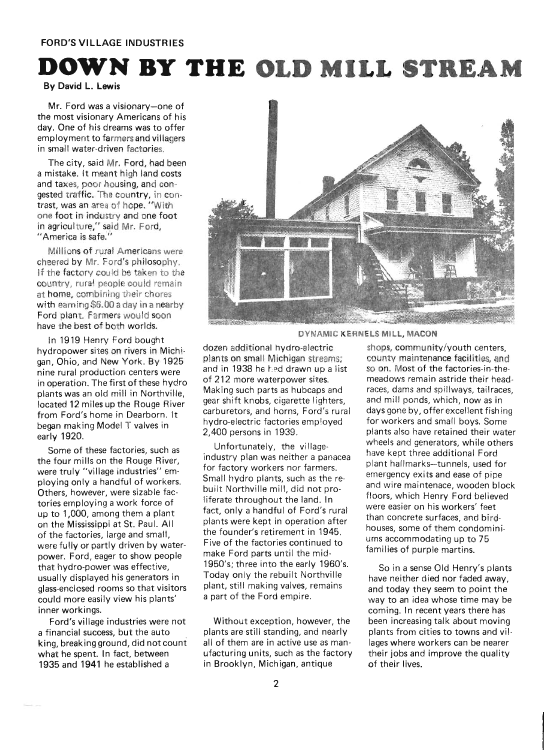# **DOWN BY THE OLD MILL STREAM**

By David L. Lewis

Mr. Ford was a visionary-one of the most visionary Americans of his day. One of his dreams was to offer employment to farmers and villagers in small water-driven factories.

The city, said Mr. Ford, had been a mistake. It meant high land costs and taxes, poor housing, and congested traffic. The country, in contrast, was an area of hope. "With one foot in industry and one foot in agriculture," said Mr. Ford, "America is safe."

Millions of rural Americans were cheered by Mr. Ford's philosophy. If the factory could be taken to the country, rural people could remain at home, combining their chores with earning \$6.00 a day in a nearby Ford plant. Farmers would soon have the best of both worlds.

In 1919 Henry Ford bought hydropower sites on rivers in Michigan, Ohio, and New York. By 1925 nine rural production centers were in operation. The first of these hydro plants was an old mill in Northville, located 12 miles up the Rouge River from Ford's home in Dearborn. It began making Model T valves in early 1920.

Some of these factories, such as the four mills on the Rouge River, were truly "village industries" employing only a handful of workers. Others, however, were sizable factories employing a work force of up to 1,000, among them a plant on the Mississippi at St. Paul. All of the factories, large and small, were fully or partly driven by waterpower. Ford, eager to show people that hydro-power was effective, usually displayed his generators in glass-enclosed rooms so that visitors could more easily view his plants' inner workings.

Ford's village industries were not a financial success, but the auto king, breaking ground, did not count what he spent. In fact, between 1935 and 1941 he established a



DYNAMIC KERNELS MilL, MACON

dozen additional hydro-electric plants on small Michigan streams; and in 1938 he had drawn up a list of 212 more waterpower sites. Making such parts as hubcaps and gear shift knobs, cigarette lighters, carburetors, and horns, Ford's rural hydro-electric factories employed 2,400 persons in 1939.

Unfortunately, the villageindustry plan was neither a panacea for factory workers nor farmers. Small hydro plants, such as the rebuilt Northville mill, did not proliferate throughout the land. In fact, only a handful of Ford's rural plants were kept in operation after the founder's retirement in 1945. Five of the factories continued to make Ford parts until the mid-1950's; three into the early 1960's. Today only the rebuilt Northville plant, still making valves, remains a part of the Ford empire.

Without exception, however, the plants are still standing, and nearly all of them are in active use as manufacturing units, such as the factory in Brooklyn, Michigan, antique

shops, community/youth centers, county maintenance facilities, and so on. Most of the factories-in-themeadows remain astride their headraces, dams and spillways, tailraces, and mill ponds, which, now as in days gone by, offer excellent fishing for workers and small boys. Some plants also have retained their water wheels and generators, while others have kept three additional Ford plant hallmarks-tunnels, used for emergency exits and ease of pipe and wire maintenace, wooden block floors, which Henry Ford believed were easier on his workers' feet than concrete surfaces, and birdhouses, some of them condominiums accommodating up to 75 families of purple martins.

So in a sense Old Henry's plants have neither died nor faded away, and today they seem to point the way to an idea whose time may be coming. In recent years there has been increasing talk about moving plants from cities to towns and villages where workers can be nearer their jobs and improve the quality of their lives.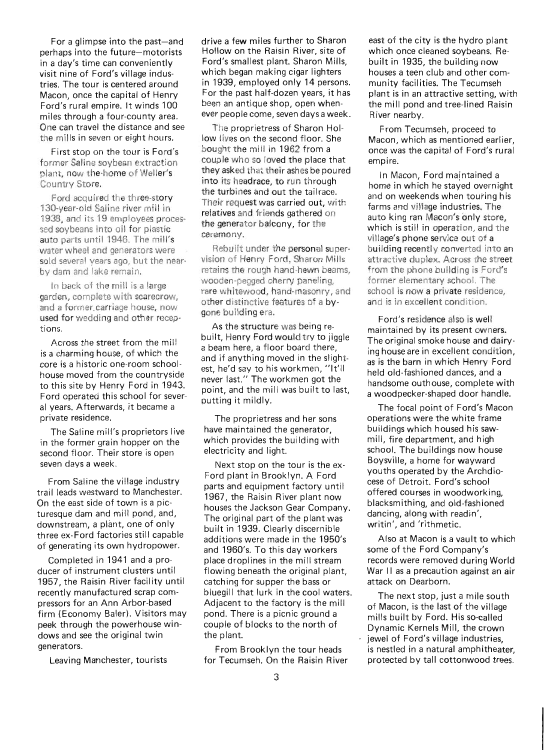For a glimpse into the past-and perhaps into the future-motorists in a day's time can conveniently visit nine of Ford's village industries. The tour is centered around Macon, once the capital of Henry Ford's rural empire. It winds 100 miles through a four-county area. One can travel the distance and see the mills in seven or eight hours.

First stop on the tour is Ford's former Saline soybean extraction plant, now the·home of Weller's Country Store.

Ford acquired the three-story 130-year-old Saline river mill in 1938, and its 19 employees processed soybeans into oil for plastic auto parts until 1946. The mill's water wheel and generators were sold several years ago, but the nearby dam and lake remain.

In back of the mill is a large garden, complete with scarecrow, and a former carriage house, now used for wedding and other receptions.

Across the street from the mill is a charming house, of which the core is a historic one-room schoolhouse moved from the countryside to this site by Henry Ford in 1943. Ford operated this school for several years. Afterwards, it became a private residence.

The Saline mill's proprietors live in the former grain hopper on the second floor. Their store is open seven days a week.

From Saline the village industry trail leads westward to Manchester. On the east side of town is a picturesque dam and mill pond, and, downstream, a plant, one of only three ex-Ford factories still capable of generating its own hydropower.

Completed in 1941 and a producer of instrument clusters until 1957, the Raisin River facility until recently manufactured scrap compressors for an Ann Arbor-based firm (Economy Baler). Visitors may peek through the powerhouse windows and see the original twin generators.

Leaving Manchester, tourists

drive a few miles further to Sharon Hollow on the Raisin River, site of Ford's smallest plant. Sharon Mills, which began making cigar lighters in 1939, employed only 14 persons. For the past half-dozen years, it has been an antique shop, open whenever people come, seven daysa week.

The proprietress of Sharon Hollow lives on the second floor. She bought the mill in 1962 from a couple who so loved the place that they asked that their ashes be poured into its headrace, to run through the turbines and out the tailrace. Their request was carried out, with relatives and friends gathered on the generator balcony, for the ceremony.

Rebuilt under the personal supervision of Henry Ford, Sharon Mills retains the rough hand-hewn beams, wooden-pegged cherry paneling, rare whitewood, hand-masonry, and other distinctive features of a bygone building era.

As the structure was being rebuilt, Henry Ford would try to jiggle a beam here, a floor board there, and if anything moved in the slightest, he'd say to his workmen, "It'li never last." The workmen got the point, and the mill was built to last, putting it mildly.

The proprietress and her sons have maintained the generator, which provides the building with electricity and light.

Next stop on the tour is the ex-Ford plant in Brooklyn. A Ford parts and equipment factory until 1967, the Raisin River plant now houses the Jackson Gear Company. The original part of the plant was built in 1939. Clearly discernible additions were made in the 1950's and 1960's. To this day workers place droplines in the mill stream flowing beneath the original plant, catch ing for supper the bass or bluegill that lurk in the cool waters. Adjacent to the factory is the mill pond. There is a picnic ground a couple of blocks to the north of the plant.

From Brooklyn the tour heads for Tecumseh. On the Raisin River

east of the city is the hydro plant which once cleaned soybeans. Rebuilt in 1935, the building now houses a teen club and other community facilities. The Tecumseh plant is in an attractive setting, with the mill pond and tree-lined Raisin River nearby.

From Tecumseh, proceed to Macon, which as mentioned earlier, once was the capital of Ford's rural empire.

In Macon, Ford maintained a home in which he stayed overnight and on weekends when touring his farms and village industries. The auto king ran Macon's only store, which is still in operation, and the village's phone service out of a building recently converted into an attractive duplex. Across the street from the phone building is Ford's former elementary school. The school is now a private residence, and is in excellent condition.

Ford's residence also is well maintained by its present owners. The original smoke house and dairying house are in excellent condition, as is the barn in which Henry Ford held old-fashioned dances, and a handsome outhouse, complete with a woodpecker-shaped door handle.

The focal point of Ford's Macon operations were the white frame buildings which housed his sawmill, fire department, and high school. The buildings now house Boysville, a home for wayward youths operated by the Archdiocese of Detroit. Ford's school offered courses in woodworking, blacksmithing, and old-fashioned dancing, along with readin', writin', and 'rithmetic.

Also at Macon is a vault to which some of the Ford Company's records were removed during World War II as a precaution against an air attack on Dearborn.

The next stop, just a mile south of Macon, is the last of the village mills built by Ford. His so-called Dynamic Kernels Mill, the crown jewel of Ford's village industries, is nestled in a natural amphitheater, protected by tall cottonwood trees.